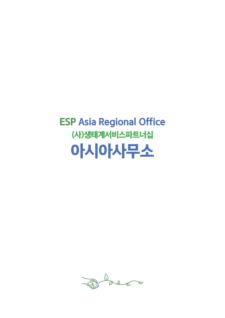$\frac{1}{\sqrt{2}}$  $\begin{picture}(120,15) \put(0,0){\line(1,0){150}} \put(15,0){\line(1,0){150}} \put(15,0){\line(1,0){150}} \put(15,0){\line(1,0){150}} \put(15,0){\line(1,0){150}} \put(15,0){\line(1,0){150}} \put(15,0){\line(1,0){150}} \put(15,0){\line(1,0){150}} \put(15,0){\line(1,0){150}} \put(15,0){\line(1,0){150}} \put(15,0){\line(1,0){150}}$ 

# ESP Asia Regional Office (사)생태계서비스파트너십 아시아사무소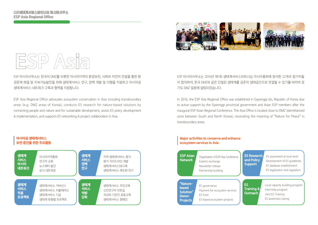



ESP 아시아사무소는 한국의 DMZ를 비롯한 아시아지역의 환경보전, 사회와 자연의 연결을 통한 환 경문제 해결 및 지속가능발전을 위해 생태계서비스 연구, 정책 개발 및 이행을 지원하고 아시아권 생태계서비스 네트워크 구축과 협력을 지원합니다.

ESP Asia Regional Office advocates ecosystem conservation in Asia including transboundary areas (e.g. DMZ areas of Korea), conducts ES research for nature-based solutions by connecting people and nature and for sustainable development, assists ES policy development & implementation, and supports ES networking & project collaboration in Asia.

ESP 아시아사무소는 2016년 제1회 생태계서비스파트너십 아시아총회에 참석한 22개국 참가자들 이 합의하여, 한국 DMZ와 같은 단절된 생태계를 공존의 생태공간으로 연결될 수 있기를 바라며 경 기도 DMZ 일원에 설립되었습니다.

In 2016, the ESP Asia Regional Office was established in Gyeonggi-do, Republic of Korea due to active support by the Gyeonggi provincial government and Asian ESP members after the inaugural ESP Asian Regional Conference. The Asia Office is located close to DMZ (demilitarized zone between South and North Korea), resonating the meaning of "Nature for Peace" in transboundary areas.

### Major activities to conserve and enhance ecosystem services in Asia



## 아시아권 생태계서비스 보전·증진을 위한 주요활동

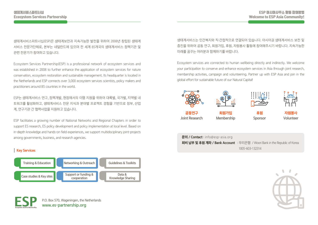생태계서비스파트너십(ESP)은 생태계보전과 지속가능한 발전을 위하여 2008년 창립된 생태계 서비스 전문가단체로, 본부는 네덜란드에 있으며 전 세계 85개국의 생태계서비스 정책기관 및 관련 전문가가 참여하고 있습니다.

Ecosystem Services Partnership(ESP) is a professional network of ecosystem services and was established in 2008 to further enhance the application of ecosystem services for nature conservation, ecosystem restoration and sustainable management. Its headquarter is located in the Netherlands and ESP connects over 3,000 ecosystem services scientists, policy makers and practitioners around 85 countries in the world.

ESP는 생태계서비스 연구, 정책개발, 현장에서의 이행 지원을 위하여 대륙별, 국가별, 지역별 네 트워크를 활성화하고, 생태계서비스 전문 지식과 분야별 프로젝트 경험을 기반으로 정부, 산업 계, 연구기관 간 협력사업을 지원하고 있습니다.

ESP facilitates a growing number of National Networks and Regional Chapters in order to support ES research, ES policy development and policy implementation at local level. Based on in-depth knowledge and hands-on field experiences, we support multidisciplinary joint-projects among governments, business, and research agencies.

# **Key Services**





생태계서비스는 인간복지와 직·간접적으로 연결되어 있습니다. 아시아권 생태계서비스 보전 및 증진을 위하여 공동 연구, 회원가입, 후원, 자원봉사 활동에 참여해주시기 바랍니다. 지속가능한 미래를 꿈꾸는 여러분과 함께하기를 바랍니다.

Ecosystem services are connected to human wellbeing directly and indirectly. We welcome your participation to conserve and enhance ecosystem services in Asia through joint research, membership activities, campaign and volunteering. Partner up with ESP Asia and join in the global effort for sustainable future of our Natural Capital!



| $\Xi$ 의 / Contact: info@esp-asia.org                                             |  |
|----------------------------------------------------------------------------------|--|
| <b>회비 납부 및 후원 계좌 / Bank Account</b> : 우리은행 / Woori Bank in the Republic of Korea |  |
| 1005-603-132314                                                                  |  |